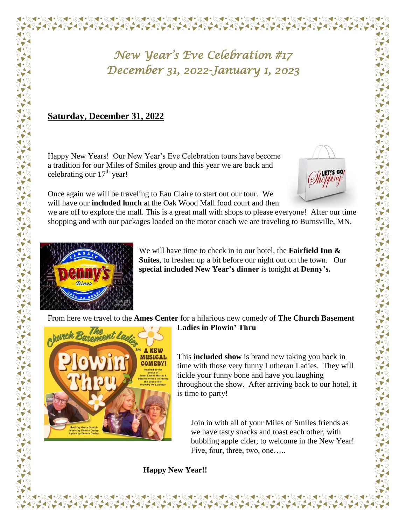## *New Year's Eve Celebration #17 December 31, 2022-January 1, 2023*

## **Saturday, December 31, 2022**

Happy New Years! Our New Year's Eve Celebration tours have become a tradition for our Miles of Smiles group and this year we are back and celebrating our  $17<sup>th</sup>$  year!

Once again we will be traveling to Eau Claire to start out our tour. We will have our **included lunch** at the Oak Wood Mall food court and then

we are off to explore the mall. This is a great mall with shops to please everyone! After our time shopping and with our packages loaded on the motor coach we are traveling to Burnsville, MN.



We will have time to check in to our hotel, the **Fairfield Inn & Suites**, to freshen up a bit before our night out on the town. Our **special included New Year's dinner** is tonight at **Denny's.**

From here we travel to the **Ames Center** for a hilarious new comedy of **The Church Basement** 



**Ladies in Plowin' Thru**

This **included show** is brand new taking you back in time with those very funny Lutheran Ladies. They will tickle your funny bone and have you laughing throughout the show. After arriving back to our hotel, it is time to party!

Join in with all of your Miles of Smiles friends as we have tasty snacks and toast each other, with bubbling apple cider, to welcome in the New Year! Five, four, three, two, one…..

**Happy New Year!!**